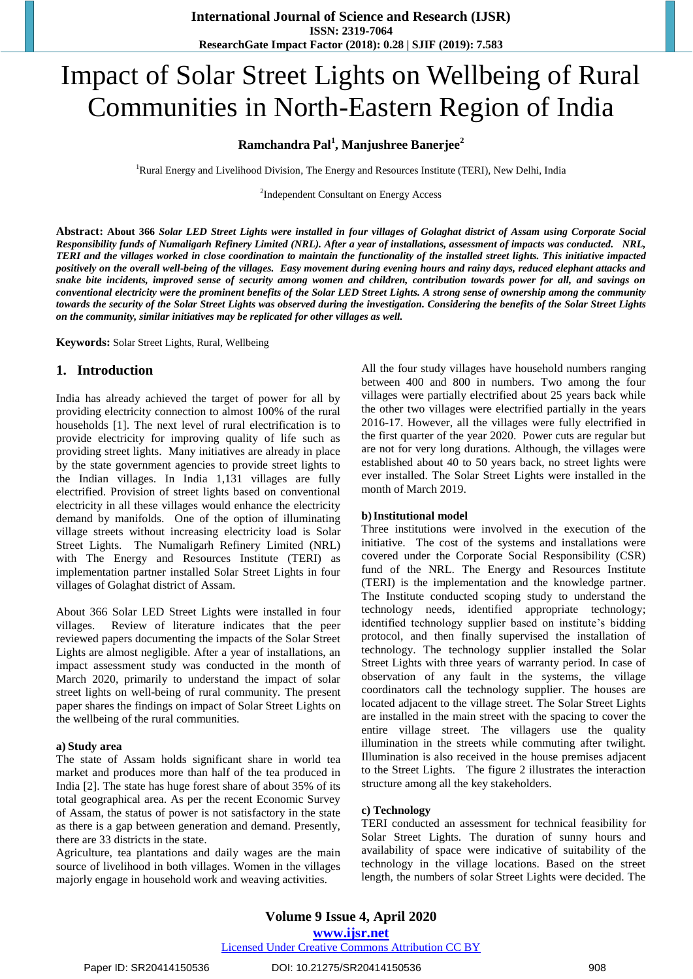# Impact of Solar Street Lights on Wellbeing of Rural Communities in North-Eastern Region of India

## **Ramchandra Pal<sup>1</sup> , Manjushree Banerjee<sup>2</sup>**

<sup>1</sup>Rural Energy and Livelihood Division, The Energy and Resources Institute (TERI), New Delhi, India

<sup>2</sup>Independent Consultant on Energy Access

**Abstract: About 366** *Solar LED Street Lights were installed in four villages of Golaghat district of Assam using Corporate Social Responsibility funds of Numaligarh Refinery Limited (NRL). After a year of installations, assessment of impacts was conducted. NRL, TERI and the villages worked in close coordination to maintain the functionality of the installed street lights. This initiative impacted positively on the overall well-being of the villages. Easy movement during evening hours and rainy days, reduced elephant attacks and snake bite incidents, improved sense of security among women and children, contribution towards power for all, and savings on conventional electricity were the prominent benefits of the Solar LED Street Lights. A strong sense of ownership among the community towards the security of the Solar Street Lights was observed during the investigation. Considering the benefits of the Solar Street Lights on the community, similar initiatives may be replicated for other villages as well.*

**Keywords:** Solar Street Lights, Rural, Wellbeing

## **1. Introduction**

India has already achieved the target of power for all by providing electricity connection to almost 100% of the rural households [1]. The next level of rural electrification is to provide electricity for improving quality of life such as providing street lights. Many initiatives are already in place by the state government agencies to provide street lights to the Indian villages. In India 1,131 villages are fully electrified. Provision of street lights based on conventional electricity in all these villages would enhance the electricity demand by manifolds. One of the option of illuminating village streets without increasing electricity load is Solar Street Lights. The Numaligarh Refinery Limited (NRL) with The Energy and Resources Institute (TERI) as implementation partner installed Solar Street Lights in four villages of Golaghat district of Assam.

About 366 Solar LED Street Lights were installed in four villages. Review of literature indicates that the peer reviewed papers documenting the impacts of the Solar Street Lights are almost negligible. After a year of installations, an impact assessment study was conducted in the month of March 2020, primarily to understand the impact of solar street lights on well-being of rural community. The present paper shares the findings on impact of Solar Street Lights on the wellbeing of the rural communities.

#### **a) Study area**

The state of Assam holds significant share in world tea market and produces more than half of the tea produced in India [2]. The state has huge forest share of about 35% of its total geographical area. As per the recent Economic Survey of Assam, the status of power is not satisfactory in the state as there is a gap between generation and demand. Presently, there are 33 districts in the state.

Agriculture, tea plantations and daily wages are the main source of livelihood in both villages. Women in the villages majorly engage in household work and weaving activities.

All the four study villages have household numbers ranging between 400 and 800 in numbers. Two among the four villages were partially electrified about 25 years back while the other two villages were electrified partially in the years 2016-17. However, all the villages were fully electrified in the first quarter of the year 2020. Power cuts are regular but are not for very long durations. Although, the villages were established about 40 to 50 years back, no street lights were ever installed. The Solar Street Lights were installed in the month of March 2019.

#### **b)Institutional model**

Three institutions were involved in the execution of the initiative. The cost of the systems and installations were covered under the Corporate Social Responsibility (CSR) fund of the NRL. The Energy and Resources Institute (TERI) is the implementation and the knowledge partner. The Institute conducted scoping study to understand the technology needs, identified appropriate technology; identified technology supplier based on institute's bidding protocol, and then finally supervised the installation of technology. The technology supplier installed the Solar Street Lights with three years of warranty period. In case of observation of any fault in the systems, the village coordinators call the technology supplier. The houses are located adjacent to the village street. The Solar Street Lights are installed in the main street with the spacing to cover the entire village street. The villagers use the quality illumination in the streets while commuting after twilight. Illumination is also received in the house premises adjacent to the Street Lights. The figure 2 illustrates the interaction structure among all the key stakeholders.

#### **c) Technology**

TERI conducted an assessment for technical feasibility for Solar Street Lights. The duration of sunny hours and availability of space were indicative of suitability of the technology in the village locations. Based on the street length, the numbers of solar Street Lights were decided. The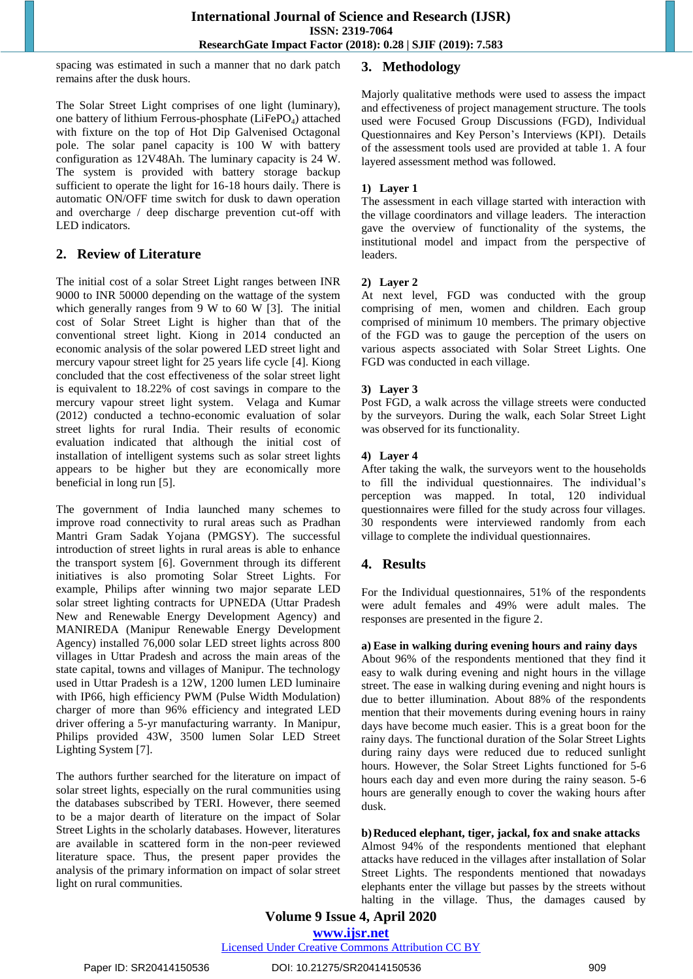spacing was estimated in such a manner that no dark patch remains after the dusk hours.

The Solar Street Light comprises of one light (luminary), one battery of lithium Ferrous-phosphate (LiFePO<sub>4</sub>) attached with fixture on the top of Hot Dip Galvenised Octagonal pole. The solar panel capacity is 100 W with battery configuration as 12V48Ah. The luminary capacity is 24 W. The system is provided with battery storage backup sufficient to operate the light for 16-18 hours daily. There is automatic ON/OFF time switch for dusk to dawn operation and overcharge / deep discharge prevention cut-off with LED indicators.

# **2. Review of Literature**

The initial cost of a solar Street Light ranges between INR 9000 to INR 50000 depending on the wattage of the system which generally ranges from 9 W to 60 W [3]. The initial cost of Solar Street Light is higher than that of the conventional street light. Kiong in 2014 conducted an economic analysis of the solar powered LED street light and mercury vapour street light for 25 years life cycle [4]. Kiong concluded that the cost effectiveness of the solar street light is equivalent to 18.22% of cost savings in compare to the mercury vapour street light system. Velaga and Kumar (2012) conducted a techno-economic evaluation of solar street lights for rural India. Their results of economic evaluation indicated that although the initial cost of installation of intelligent systems such as solar street lights appears to be higher but they are economically more beneficial in long run [5].

The government of India launched many schemes to improve road connectivity to rural areas such as Pradhan Mantri Gram Sadak Yojana (PMGSY). The successful introduction of street lights in rural areas is able to enhance the transport system [6]. Government through its different initiatives is also promoting Solar Street Lights. For example, Philips after winning two major separate LED solar street lighting contracts for UPNEDA (Uttar Pradesh New and Renewable Energy Development Agency) and MANIREDA (Manipur Renewable Energy Development Agency) installed 76,000 solar LED street lights across 800 villages in Uttar Pradesh and across the main areas of the state capital, towns and villages of Manipur. The technology used in Uttar Pradesh is a 12W, 1200 lumen LED luminaire with IP66, high efficiency PWM (Pulse Width Modulation) charger of more than 96% efficiency and integrated LED driver offering a 5-yr manufacturing warranty. In Manipur, Philips provided 43W, 3500 lumen Solar LED Street Lighting System [7].

The authors further searched for the literature on impact of solar street lights, especially on the rural communities using the databases subscribed by TERI. However, there seemed to be a major dearth of literature on the impact of Solar Street Lights in the scholarly databases. However, literatures are available in scattered form in the non-peer reviewed literature space. Thus, the present paper provides the analysis of the primary information on impact of solar street light on rural communities.

# **3. Methodology**

Majorly qualitative methods were used to assess the impact and effectiveness of project management structure. The tools used were Focused Group Discussions (FGD), Individual Questionnaires and Key Person's Interviews (KPI). Details of the assessment tools used are provided at table 1. A four layered assessment method was followed.

## **1) Layer 1**

The assessment in each village started with interaction with the village coordinators and village leaders. The interaction gave the overview of functionality of the systems, the institutional model and impact from the perspective of leaders.

## **2) Layer 2**

At next level, FGD was conducted with the group comprising of men, women and children. Each group comprised of minimum 10 members. The primary objective of the FGD was to gauge the perception of the users on various aspects associated with Solar Street Lights. One FGD was conducted in each village.

## **3) Layer 3**

Post FGD, a walk across the village streets were conducted by the surveyors. During the walk, each Solar Street Light was observed for its functionality.

## **4) Layer 4**

After taking the walk, the surveyors went to the households to fill the individual questionnaires. The individual's perception was mapped. In total, 120 individual questionnaires were filled for the study across four villages. 30 respondents were interviewed randomly from each village to complete the individual questionnaires.

# **4. Results**

For the Individual questionnaires, 51% of the respondents were adult females and 49% were adult males. The responses are presented in the figure 2.

## **a) Ease in walking during evening hours and rainy days**

About 96% of the respondents mentioned that they find it easy to walk during evening and night hours in the village street. The ease in walking during evening and night hours is due to better illumination. About 88% of the respondents mention that their movements during evening hours in rainy days have become much easier. This is a great boon for the rainy days. The functional duration of the Solar Street Lights during rainy days were reduced due to reduced sunlight hours. However, the Solar Street Lights functioned for 5-6 hours each day and even more during the rainy season. 5-6 hours are generally enough to cover the waking hours after dusk.

#### **b)Reduced elephant, tiger, jackal, fox and snake attacks** Almost 94% of the respondents mentioned that elephant

attacks have reduced in the villages after installation of Solar Street Lights. The respondents mentioned that nowadays elephants enter the village but passes by the streets without halting in the village. Thus, the damages caused by

**Volume 9 Issue 4, April 2020 www.ijsr.net**

## Licensed Under Creative Commons Attribution CC BY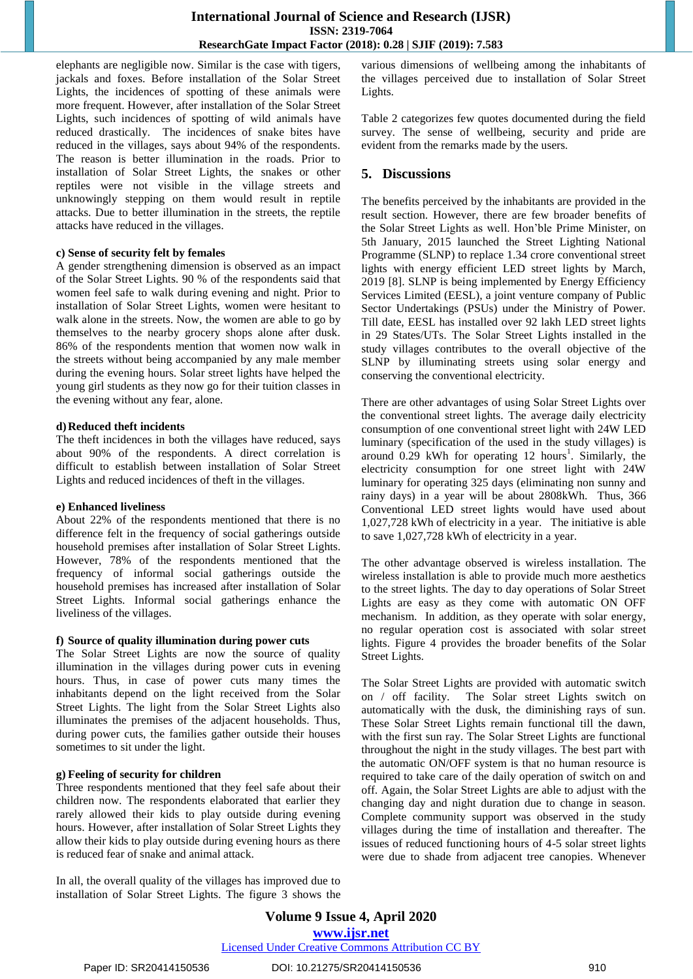elephants are negligible now. Similar is the case with tigers, jackals and foxes. Before installation of the Solar Street Lights, the incidences of spotting of these animals were more frequent. However, after installation of the Solar Street Lights, such incidences of spotting of wild animals have reduced drastically. The incidences of snake bites have reduced in the villages, says about 94% of the respondents. The reason is better illumination in the roads. Prior to installation of Solar Street Lights, the snakes or other reptiles were not visible in the village streets and unknowingly stepping on them would result in reptile attacks. Due to better illumination in the streets, the reptile attacks have reduced in the villages.

#### **c) Sense of security felt by females**

A gender strengthening dimension is observed as an impact of the Solar Street Lights. 90 % of the respondents said that women feel safe to walk during evening and night. Prior to installation of Solar Street Lights, women were hesitant to walk alone in the streets. Now, the women are able to go by themselves to the nearby grocery shops alone after dusk. 86% of the respondents mention that women now walk in the streets without being accompanied by any male member during the evening hours. Solar street lights have helped the young girl students as they now go for their tuition classes in the evening without any fear, alone.

#### **d)Reduced theft incidents**

The theft incidences in both the villages have reduced, says about 90% of the respondents. A direct correlation is difficult to establish between installation of Solar Street Lights and reduced incidences of theft in the villages.

#### **e) Enhanced liveliness**

About 22% of the respondents mentioned that there is no difference felt in the frequency of social gatherings outside household premises after installation of Solar Street Lights. However, 78% of the respondents mentioned that the frequency of informal social gatherings outside the household premises has increased after installation of Solar Street Lights. Informal social gatherings enhance the liveliness of the villages.

#### **f) Source of quality illumination during power cuts**

The Solar Street Lights are now the source of quality illumination in the villages during power cuts in evening hours. Thus, in case of power cuts many times the inhabitants depend on the light received from the Solar Street Lights. The light from the Solar Street Lights also illuminates the premises of the adjacent households. Thus, during power cuts, the families gather outside their houses sometimes to sit under the light.

#### **g) Feeling of security for children**

Three respondents mentioned that they feel safe about their children now. The respondents elaborated that earlier they rarely allowed their kids to play outside during evening hours. However, after installation of Solar Street Lights they allow their kids to play outside during evening hours as there is reduced fear of snake and animal attack.

In all, the overall quality of the villages has improved due to installation of Solar Street Lights. The figure 3 shows the various dimensions of wellbeing among the inhabitants of the villages perceived due to installation of Solar Street Lights.

Table 2 categorizes few quotes documented during the field survey. The sense of wellbeing, security and pride are evident from the remarks made by the users.

## **5. Discussions**

The benefits perceived by the inhabitants are provided in the result section. However, there are few broader benefits of the Solar Street Lights as well. Hon'ble Prime Minister, on 5th January, 2015 launched the Street Lighting National Programme (SLNP) to replace 1.34 crore conventional street lights with energy efficient LED street lights by March, 2019 [8]. SLNP is being implemented by Energy Efficiency Services Limited (EESL), a joint venture company of Public Sector Undertakings (PSUs) under the Ministry of Power. Till date, EESL has installed over 92 lakh LED street lights in 29 States/UTs. The Solar Street Lights installed in the study villages contributes to the overall objective of the SLNP by illuminating streets using solar energy and conserving the conventional electricity.

There are other advantages of using Solar Street Lights over the conventional street lights. The average daily electricity consumption of one conventional street light with 24W LED luminary (specification of the used in the study villages) is around  $0.29$  kWh for operating 12 hours<sup>1</sup>. Similarly, the electricity consumption for one street light with 24W luminary for operating 325 days (eliminating non sunny and rainy days) in a year will be about 2808kWh. Thus, 366 Conventional LED street lights would have used about 1,027,728 kWh of electricity in a year. The initiative is able to save 1,027,728 kWh of electricity in a year.

The other advantage observed is wireless installation. The wireless installation is able to provide much more aesthetics to the street lights. The day to day operations of Solar Street Lights are easy as they come with automatic ON OFF mechanism. In addition, as they operate with solar energy, no regular operation cost is associated with solar street lights. Figure 4 provides the broader benefits of the Solar Street Lights.

The Solar Street Lights are provided with automatic switch on / off facility. The Solar street Lights switch on automatically with the dusk, the diminishing rays of sun. These Solar Street Lights remain functional till the dawn, with the first sun ray. The Solar Street Lights are functional throughout the night in the study villages. The best part with the automatic ON/OFF system is that no human resource is required to take care of the daily operation of switch on and off. Again, the Solar Street Lights are able to adjust with the changing day and night duration due to change in season. Complete community support was observed in the study villages during the time of installation and thereafter. The issues of reduced functioning hours of 4-5 solar street lights were due to shade from adjacent tree canopies. Whenever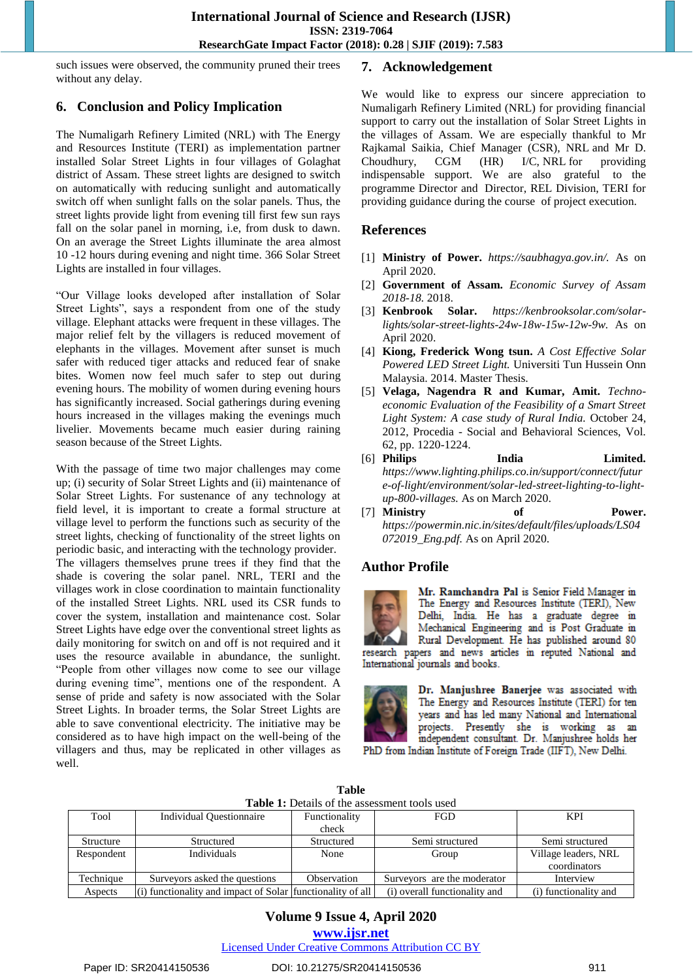such issues were observed, the community pruned their trees without any delay.

# **6. Conclusion and Policy Implication**

The Numaligarh Refinery Limited (NRL) with The Energy and Resources Institute (TERI) as implementation partner installed Solar Street Lights in four villages of Golaghat district of Assam. These street lights are designed to switch on automatically with reducing sunlight and automatically switch off when sunlight falls on the solar panels. Thus, the street lights provide light from evening till first few sun rays fall on the solar panel in morning, i.e, from dusk to dawn. On an average the Street Lights illuminate the area almost 10 -12 hours during evening and night time. 366 Solar Street Lights are installed in four villages.

"Our Village looks developed after installation of Solar Street Lights", says a respondent from one of the study village. Elephant attacks were frequent in these villages. The major relief felt by the villagers is reduced movement of elephants in the villages. Movement after sunset is much safer with reduced tiger attacks and reduced fear of snake bites. Women now feel much safer to step out during evening hours. The mobility of women during evening hours has significantly increased. Social gatherings during evening hours increased in the villages making the evenings much livelier. Movements became much easier during raining season because of the Street Lights.

With the passage of time two major challenges may come up; (i) security of Solar Street Lights and (ii) maintenance of Solar Street Lights. For sustenance of any technology at field level, it is important to create a formal structure at village level to perform the functions such as security of the street lights, checking of functionality of the street lights on periodic basic, and interacting with the technology provider. The villagers themselves prune trees if they find that the shade is covering the solar panel. NRL, TERI and the villages work in close coordination to maintain functionality of the installed Street Lights. NRL used its CSR funds to cover the system, installation and maintenance cost. Solar Street Lights have edge over the conventional street lights as daily monitoring for switch on and off is not required and it uses the resource available in abundance, the sunlight. "People from other villages now come to see our village during evening time", mentions one of the respondent. A sense of pride and safety is now associated with the Solar Street Lights. In broader terms, the Solar Street Lights are able to save conventional electricity. The initiative may be considered as to have high impact on the well-being of the villagers and thus, may be replicated in other villages as well.

# **7. Acknowledgement**

We would like to express our sincere appreciation to Numaligarh Refinery Limited (NRL) for providing financial support to carry out the installation of Solar Street Lights in the villages of Assam. We are especially thankful to Mr Rajkamal Saikia, Chief Manager (CSR), NRL and Mr D. Choudhury, CGM (HR) I/C, NRL for providing indispensable support. We are also grateful to the programme Director and Director, REL Division, TERI for providing guidance during the course of project execution.

## **References**

- [1] **Ministry of Power.** *https://saubhagya.gov.in/.* As on April 2020.
- [2] **Government of Assam.** *Economic Survey of Assam 2018-18.* 2018.
- [3] **Kenbrook Solar.** *https://kenbrooksolar.com/solarlights/solar-street-lights-24w-18w-15w-12w-9w.* As on April 2020.
- [4] **Kiong, Frederick Wong tsun.** *A Cost Effective Solar Powered LED Street Light.* Universiti Tun Hussein Onn Malaysia. 2014. Master Thesis.
- [5] **Velaga, Nagendra R and Kumar, Amit.** *Technoeconomic Evaluation of the Feasibility of a Smart Street Light System: A case study of Rural India.* October 24, 2012, Procedia - Social and Behavioral Sciences, Vol. 62, pp. 1220-1224.
- [6] **Philips India Limited.** *https://www.lighting.philips.co.in/support/connect/futur e-of-light/environment/solar-led-street-lighting-to-lightup-800-villages.* As on March 2020.
- [7] **Ministry of Power.** *https://powermin.nic.in/sites/default/files/uploads/LS04 072019\_Eng.pdf.* As on April 2020.

# **Author Profile**



Mr. Ramchandra Pal is Senior Field Manager in The Energy and Resources Institute (TERI), New Delhi, India. He has a graduate degree in Mechanical Engineering and is Post Graduate in Rural Development. He has published around 80

research papers and news articles in reputed National and International journals and books.



Dr. Manjushree Banerjee was associated with The Energy and Resources Institute (TERI) for ten years and has led many National and International projects. Presently she is working as an independent consultant. Dr. Manjushree holds her PhD from Indian Institute of Foreign Trade (IIFT), New Delhi.

| <b>Table</b>                                         |
|------------------------------------------------------|
| <b>Table 1:</b> Details of the assessment tools used |

| Tool       | <b>Individual Questionnaire</b>                              | Functionality | <b>FGD</b>                    | <b>KPI</b>            |
|------------|--------------------------------------------------------------|---------------|-------------------------------|-----------------------|
|            |                                                              | check         |                               |                       |
| Structure  | Structured                                                   | Structured    | Semi structured               | Semi structured       |
| Respondent | Individuals                                                  | None          | Group                         | Village leaders, NRL  |
|            |                                                              |               |                               | coordinators          |
| Technique  | Surveyors asked the questions                                | Observation   | Surveyors are the moderator   | Interview             |
| Aspects    | $(i)$ functionality and impact of Solar functionality of all |               | (i) overall functionality and | (i) functionality and |

## **Volume 9 Issue 4, April 2020 www.ijsr.net**

Licensed Under Creative Commons Attribution CC BY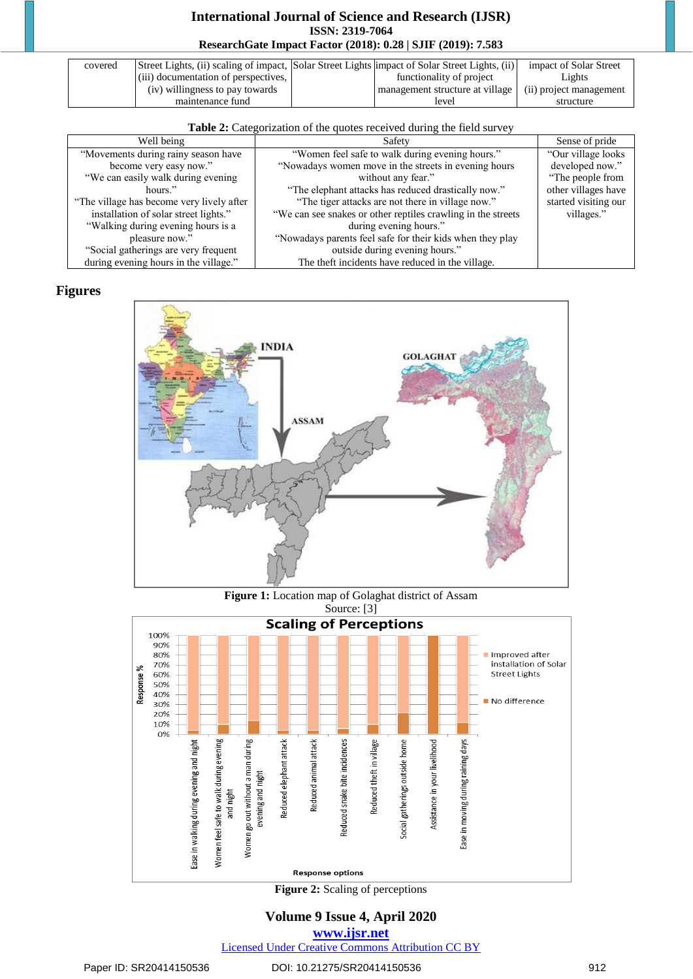# **International Journal of Science and Research (IJSR) ISSN: 2319-7064 ResearchGate Impact Factor (2018): 0.28 | SJIF (2019): 7.583**

| covered | Street Lights, (ii) scaling of impact, Solar Street Lights impact of Solar Street Lights, (ii) |                                 | impact of Solar Street  |
|---------|------------------------------------------------------------------------------------------------|---------------------------------|-------------------------|
|         | (iii) documentation of perspectives,                                                           | functionality of project        | Lights                  |
|         | (iv) willingness to pay towards                                                                | management structure at village | (ii) project management |
|         | maintenance fund                                                                               | level                           | structure               |

| Table 2: Categorization of the quotes received during the field survey |
|------------------------------------------------------------------------|
|                                                                        |

| Well being                                | Safety                                                        | Sense of pride       |
|-------------------------------------------|---------------------------------------------------------------|----------------------|
| "Movements during rainy season have       | "Women feel safe to walk during evening hours."               | "Our village looks"  |
| become very easy now."                    | "Nowadays women move in the streets in evening hours          | developed now."      |
| "We can easily walk during evening        | without any fear."                                            | "The people from     |
| hours."                                   | "The elephant attacks has reduced drastically now."           | other villages have  |
| "The village has become very lively after | "The tiger attacks are not there in village now."             | started visiting our |
| installation of solar street lights."     | "We can see snakes or other reptiles crawling in the streets" | villages."           |
| "Walking during evening hours is a        | during evening hours."                                        |                      |
| pleasure now."                            | "Nowadays parents feel safe for their kids when they play     |                      |
| "Social gatherings are very frequent      | outside during evening hours."                                |                      |
| during evening hours in the village."     | The theft incidents have reduced in the village.              |                      |

## **Figures**



**Figure 1:** Location map of Golaghat district of Assam Source: [3]



**Figure 2:** Scaling of perceptions

# **Volume 9 Issue 4, April 2020**

**www.ijsr.net**

Licensed Under Creative Commons Attribution CC BY